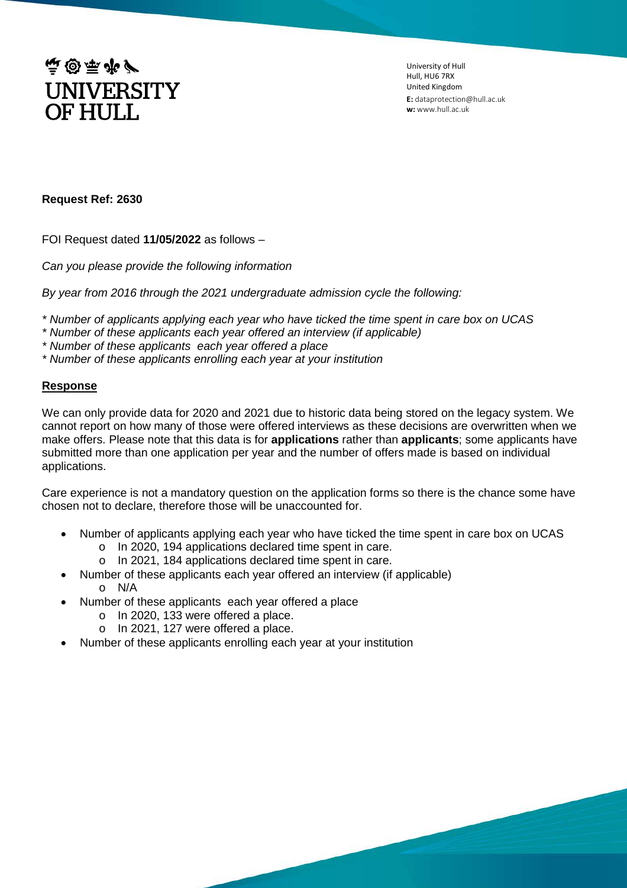

University of Hull Hull, HU6 7RX United Kingdom **E:** dataprotection@hull.ac.uk **w:** www.hull.ac.uk

## **Request Ref: 2630**

FOI Request dated **11/05/2022** as follows –

*Can you please provide the following information*

*By year from 2016 through the 2021 undergraduate admission cycle the following:*

- *\* Number of applicants applying each year who have ticked the time spent in care box on UCAS*
- *\* Number of these applicants each year offered an interview (if applicable)*

*\* Number of these applicants each year offered a place*

*\* Number of these applicants enrolling each year at your institution*

## **Response**

We can only provide data for 2020 and 2021 due to historic data being stored on the legacy system. We cannot report on how many of those were offered interviews as these decisions are overwritten when we make offers. Please note that this data is for **applications** rather than **applicants**; some applicants have submitted more than one application per year and the number of offers made is based on individual applications.

Care experience is not a mandatory question on the application forms so there is the chance some have chosen not to declare, therefore those will be unaccounted for.

- Number of applicants applying each year who have ticked the time spent in care box on UCAS
	- o In 2020, 194 applications declared time spent in care.
	- o In 2021, 184 applications declared time spent in care.
- Number of these applicants each year offered an interview (if applicable) o N/A
- Number of these applicants each year offered a place
	- o In 2020, 133 were offered a place.
	- o In 2021, 127 were offered a place.
- Number of these applicants enrolling each year at your institution